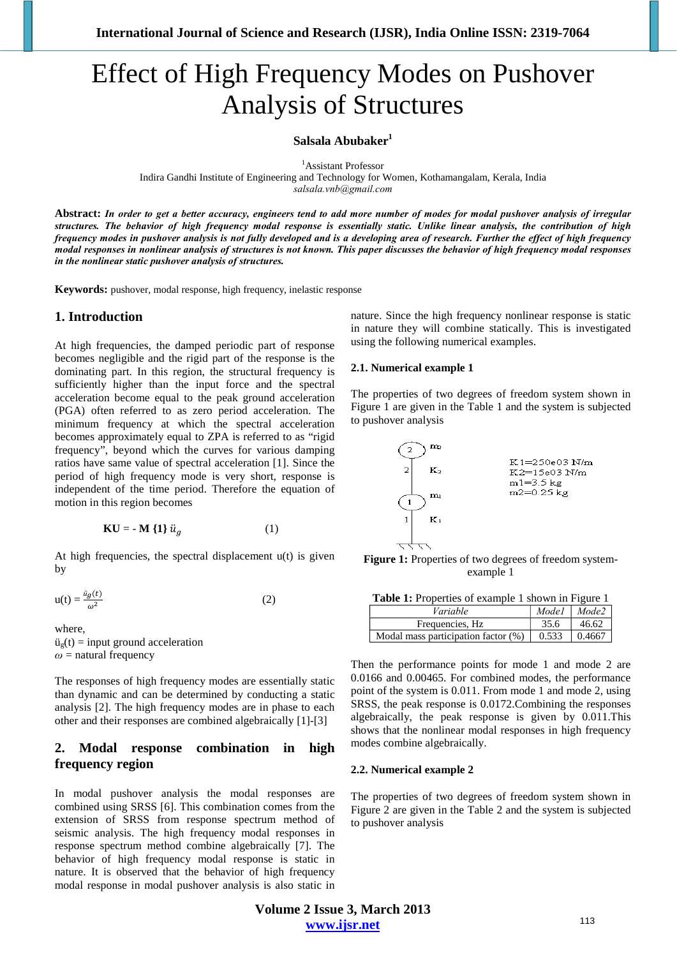# Effect of High Frequency Modes on Pushover Analysis of Structures

**Salsala Abubaker1**

1 Assistant Professor

Indira Gandhi Institute of Engineering and Technology for Women, Kothamangalam, Kerala, India

*salsala.vnb@gmail.com* 

**Abstract:** *In order to get a better accuracy, engineers tend to add more number of modes for modal pushover analysis of irregular structures. The behavior of high frequency modal response is essentially static. Unlike linear analysis, the contribution of high frequency modes in pushover analysis is not fully developed and is a developing area of research. Further the effect of high frequency modal responses in nonlinear analysis of structures is not known. This paper discusses the behavior of high frequency modal responses in the nonlinear static pushover analysis of structures.*

**Keywords:** pushover, modal response, high frequency, inelastic response

## **1. Introduction**

At high frequencies, the damped periodic part of response becomes negligible and the rigid part of the response is the dominating part. In this region, the structural frequency is sufficiently higher than the input force and the spectral acceleration become equal to the peak ground acceleration (PGA) often referred to as zero period acceleration. The minimum frequency at which the spectral acceleration becomes approximately equal to ZPA is referred to as "rigid frequency", beyond which the curves for various damping ratios have same value of spectral acceleration [1]. Since the period of high frequency mode is very short, response is independent of the time period. Therefore the equation of motion in this region becomes

$$
KU = -M\{1\}\ddot{u}_g\tag{1}
$$

At high frequencies, the spectral displacement  $u(t)$  is given by

$$
u(t) = \frac{\ddot{u}_g(t)}{\omega^2} \tag{2}
$$

where,

 $ü<sub>g</sub>(t) = input ground acceleration$  $\omega$  = natural frequency

The responses of high frequency modes are essentially static than dynamic and can be determined by conducting a static analysis [2]. The high frequency modes are in phase to each other and their responses are combined algebraically [1]-[3]

# **2. Modal response combination in high frequency region**

In modal pushover analysis the modal responses are combined using SRSS [6]. This combination comes from the extension of SRSS from response spectrum method of seismic analysis. The high frequency modal responses in response spectrum method combine algebraically [7]. The behavior of high frequency modal response is static in nature. It is observed that the behavior of high frequency modal response in modal pushover analysis is also static in nature. Since the high frequency nonlinear response is static in nature they will combine statically. This is investigated using the following numerical examples.

#### **2.1. Numerical example 1**

The properties of two degrees of freedom system shown in Figure 1 are given in the Table 1 and the system is subjected to pushover analysis



Figure 1: Properties of two degrees of freedom systemexample 1

| <b>Table 1:</b> Properties of example 1 shown in Figure 1 |       |                         |  |
|-----------------------------------------------------------|-------|-------------------------|--|
| Variable                                                  |       | $Model \mid Mode2 \mid$ |  |
| Frequencies, Hz                                           | 35.6  | 46.62                   |  |
| Modal mass participation factor (%)                       | 0.533 | 0.4667                  |  |

Then the performance points for mode 1 and mode 2 are 0.0166 and 0.00465. For combined modes, the performance point of the system is 0.011. From mode 1 and mode 2, using SRSS, the peak response is 0.0172.Combining the responses algebraically, the peak response is given by 0.011.This shows that the nonlinear modal responses in high frequency modes combine algebraically.

#### **2.2. Numerical example 2**

The properties of two degrees of freedom system shown in Figure 2 are given in the Table 2 and the system is subjected to pushover analysis

**Volume 2 Issue 3, March 2013 www.ijsr.net**